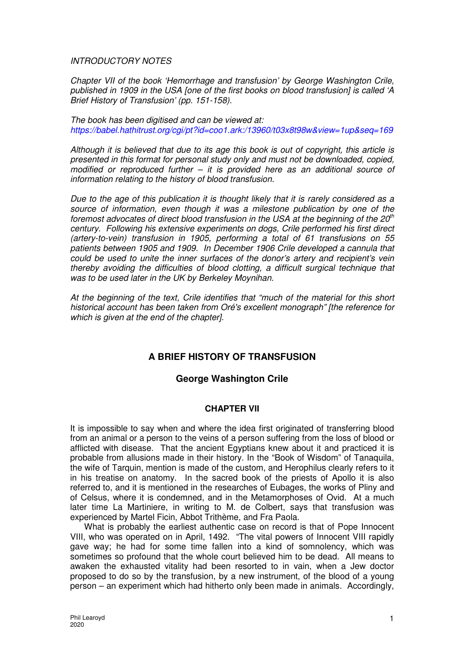## INTRODUCTORY NOTES

Chapter VII of the book 'Hemorrhage and transfusion' by George Washington Crile, published in 1909 in the USA [one of the first books on blood transfusion] is called 'A Brief History of Transfusion' (pp. 151-158).

The book has been digitised and can be viewed at: https://babel.hathitrust.org/cgi/pt?id=coo1.ark:/13960/t03x8t98w&view=1up&seq=169

Although it is believed that due to its age this book is out of copyright, this article is presented in this format for personal study only and must not be downloaded, copied, modified or reproduced further  $-$  it is provided here as an additional source of information relating to the history of blood transfusion.

Due to the age of this publication it is thought likely that it is rarely considered as a source of information, even though it was a milestone publication by one of the foremost advocates of direct blood transfusion in the USA at the beginning of the  $20<sup>th</sup>$ century. Following his extensive experiments on dogs, Crile performed his first direct (artery-to-vein) transfusion in 1905, performing a total of 61 transfusions on 55 patients between 1905 and 1909. In December 1906 Crile developed a cannula that could be used to unite the inner surfaces of the donor's artery and recipient's vein thereby avoiding the difficulties of blood clotting, a difficult surgical technique that was to be used later in the UK by Berkeley Moynihan.

At the beginning of the text, Crile identifies that "much of the material for this short historical account has been taken from Oré's excellent monograph" [the reference for which is given at the end of the chapter].

## **A BRIEF HISTORY OF TRANSFUSION**

## **George Washington Crile**

## **CHAPTER VII**

It is impossible to say when and where the idea first originated of transferring blood from an animal or a person to the veins of a person suffering from the loss of blood or afflicted with disease. That the ancient Egyptians knew about it and practiced it is probable from allusions made in their history. In the "Book of Wisdom" of Tanaquila, the wife of Tarquin, mention is made of the custom, and Herophilus clearly refers to it in his treatise on anatomy. In the sacred book of the priests of Apollo it is also referred to, and it is mentioned in the researches of Eubages, the works of Pliny and of Celsus, where it is condemned, and in the Metamorphoses of Ovid. At a much later time La Martiniere, in writing to M. de Colbert, says that transfusion was experienced by Martel Ficin, Abbot Trithème, and Fra Paola.

What is probably the earliest authentic case on record is that of Pope Innocent VIII, who was operated on in April, 1492. "The vital powers of Innocent VIII rapidly gave way; he had for some time fallen into a kind of somnolency, which was sometimes so profound that the whole court believed him to be dead. All means to awaken the exhausted vitality had been resorted to in vain, when a Jew doctor proposed to do so by the transfusion, by a new instrument, of the blood of a young person – an experiment which had hitherto only been made in animals. Accordingly,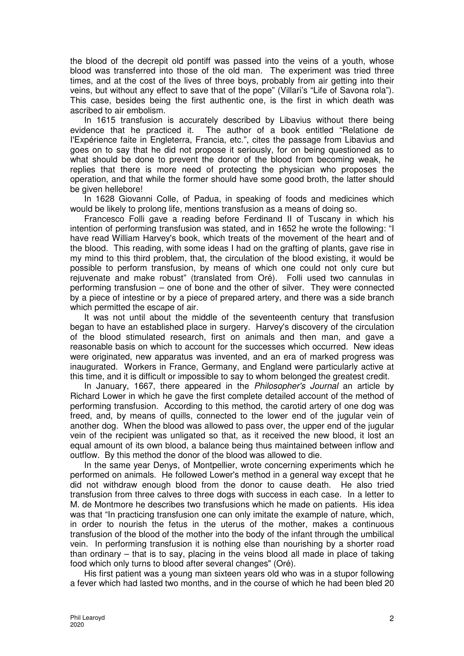the blood of the decrepit old pontiff was passed into the veins of a youth, whose blood was transferred into those of the old man. The experiment was tried three times, and at the cost of the lives of three boys, probably from air getting into their veins, but without any effect to save that of the pope" (Villari's "Life of Savona rola"). This case, besides being the first authentic one, is the first in which death was ascribed to air embolism.

In 1615 transfusion is accurately described by Libavius without there being evidence that he practiced it. The author of a book entitled "Relatione de I'Expérience faite in Engleterra, Francia, etc.", cites the passage from Libavius and goes on to say that he did not propose it seriously, for on being questioned as to what should be done to prevent the donor of the blood from becoming weak, he replies that there is more need of protecting the physician who proposes the operation, and that while the former should have some good broth, the latter should be given hellebore!

In 1628 Giovanni Colle, of Padua, in speaking of foods and medicines which would be likely to prolong life, mentions transfusion as a means of doing so.

Francesco Folli gave a reading before Ferdinand II of Tuscany in which his intention of performing transfusion was stated, and in 1652 he wrote the following: "I have read William Harvey's book, which treats of the movement of the heart and of the blood. This reading, with some ideas I had on the grafting of plants, gave rise in my mind to this third problem, that, the circulation of the blood existing, it would be possible to perform transfusion, by means of which one could not only cure but rejuvenate and make robust" (translated from Oré). Folli used two cannulas in performing transfusion – one of bone and the other of silver. They were connected by a piece of intestine or by a piece of prepared artery, and there was a side branch which permitted the escape of air.

It was not until about the middle of the seventeenth century that transfusion began to have an established place in surgery. Harvey's discovery of the circulation of the blood stimulated research, first on animals and then man, and gave a reasonable basis on which to account for the successes which occurred. New ideas were originated, new apparatus was invented, and an era of marked progress was inaugurated. Workers in France, Germany, and England were particularly active at this time, and it is difficult or impossible to say to whom belonged the greatest credit.

In January, 1667, there appeared in the Philosopher's Journal an article by Richard Lower in which he gave the first complete detailed account of the method of performing transfusion. According to this method, the carotid artery of one dog was freed, and, by means of quills, connected to the lower end of the jugular vein of another dog. When the blood was allowed to pass over, the upper end of the jugular vein of the recipient was unligated so that, as it received the new blood, it lost an equal amount of its own blood, a balance being thus maintained between inflow and outflow. By this method the donor of the blood was allowed to die.

In the same year Denys, of Montpellier, wrote concerning experiments which he performed on animals. He followed Lower's method in a general way except that he did not withdraw enough blood from the donor to cause death. He also tried transfusion from three calves to three dogs with success in each case. In a letter to M. de Montmore he describes two transfusions which he made on patients. His idea was that "In practicing transfusion one can only imitate the example of nature, which, in order to nourish the fetus in the uterus of the mother, makes a continuous transfusion of the blood of the mother into the body of the infant through the umbilical vein. In performing transfusion it is nothing else than nourishing by a shorter road than ordinary – that is to say, placing in the veins blood all made in place of taking food which only turns to blood after several changes" (Oré).

His first patient was a young man sixteen years old who was in a stupor following a fever which had lasted two months, and in the course of which he had been bled 20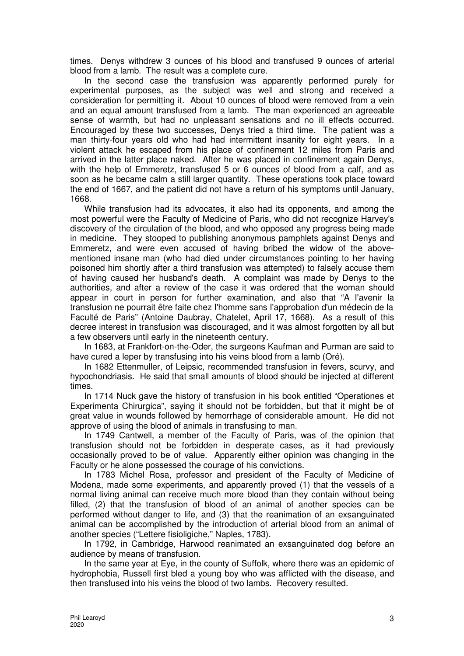times. Denys withdrew 3 ounces of his blood and transfused 9 ounces of arterial blood from a lamb. The result was a complete cure.

In the second case the transfusion was apparently performed purely for experimental purposes, as the subject was well and strong and received a consideration for permitting it. About 10 ounces of blood were removed from a vein and an equal amount transfused from a lamb. The man experienced an agreeable sense of warmth, but had no unpleasant sensations and no ill effects occurred. Encouraged by these two successes, Denys tried a third time. The patient was a man thirty-four years old who had had intermittent insanity for eight years. In a violent attack he escaped from his place of confinement 12 miles from Paris and arrived in the latter place naked. After he was placed in confinement again Denys, with the help of Emmeretz, transfused 5 or 6 ounces of blood from a calf, and as soon as he became calm a still larger quantity. These operations took place toward the end of 1667, and the patient did not have a return of his symptoms until January, 1668.

While transfusion had its advocates, it also had its opponents, and among the most powerful were the Faculty of Medicine of Paris, who did not recognize Harvey's discovery of the circulation of the blood, and who opposed any progress being made in medicine. They stooped to publishing anonymous pamphlets against Denys and Emmeretz, and were even accused of having bribed the widow of the abovementioned insane man (who had died under circumstances pointing to her having poisoned him shortly after a third transfusion was attempted) to falsely accuse them of having caused her husband's death. A complaint was made by Denys to the authorities, and after a review of the case it was ordered that the woman should appear in court in person for further examination, and also that "A I'avenir la transfusion ne pourrait être faite chez I'homme sans I'approbation d'un médecin de la Faculté de Paris" (Antoine Daubray, Chatelet, April 17, 1668). As a result of this decree interest in transfusion was discouraged, and it was almost forgotten by all but a few observers until early in the nineteenth century.

In 1683, at Frankfort-on-the-Oder, the surgeons Kaufman and Purman are said to have cured a leper by transfusing into his veins blood from a lamb (Oré).

In 1682 Ettenmuller, of Leipsic, recommended transfusion in fevers, scurvy, and hypochondriasis. He said that small amounts of blood should be injected at different times.

In 1714 Nuck gave the history of transfusion in his book entitled "Operationes et Experimenta Chirurgica", saying it should not be forbidden, but that it might be of great value in wounds followed by hemorrhage of considerable amount. He did not approve of using the blood of animals in transfusing to man.

In 1749 Cantwell, a member of the Faculty of Paris, was of the opinion that transfusion should not be forbidden in desperate cases, as it had previously occasionally proved to be of value. Apparently either opinion was changing in the Faculty or he alone possessed the courage of his convictions.

In 1783 Michel Rosa, professor and president of the Faculty of Medicine of Modena, made some experiments, and apparently proved (1) that the vessels of a normal living animal can receive much more blood than they contain without being filled, (2) that the transfusion of blood of an animal of another species can be performed without danger to life, and (3) that the reanimation of an exsanguinated animal can be accomplished by the introduction of arterial blood from an animal of another species ("Lettere fisioligiche," Naples, 1783).

In 1792, in Cambridge, Harwood reanimated an exsanguinated dog before an audience by means of transfusion.

In the same year at Eye, in the county of Suffolk, where there was an epidemic of hydrophobia, Russell first bled a young boy who was afflicted with the disease, and then transfused into his veins the blood of two lambs. Recovery resulted.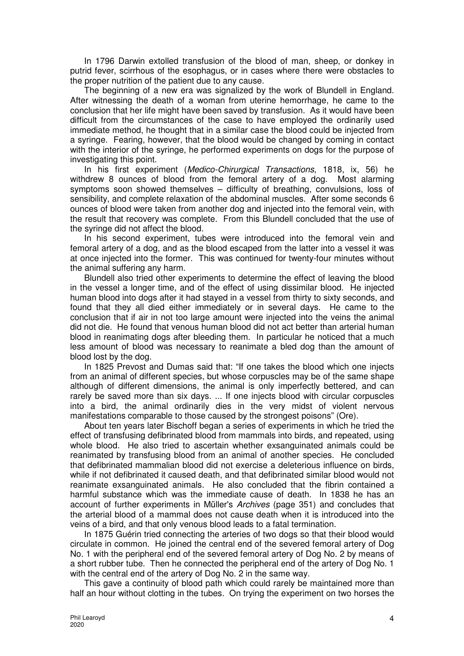In 1796 Darwin extolled transfusion of the blood of man, sheep, or donkey in putrid fever, scirrhous of the esophagus, or in cases where there were obstacles to the proper nutrition of the patient due to any cause.

The beginning of a new era was signalized by the work of Blundell in England. After witnessing the death of a woman from uterine hemorrhage, he came to the conclusion that her life might have been saved by transfusion. As it would have been difficult from the circumstances of the case to have employed the ordinarily used immediate method, he thought that in a similar case the blood could be injected from a syringe. Fearing, however, that the blood would be changed by coming in contact with the interior of the syringe, he performed experiments on dogs for the purpose of investigating this point.

In his first experiment (Medico-Chirurgical Transactions, 1818, ix, 56) he withdrew 8 ounces of blood from the femoral artery of a dog. Most alarming symptoms soon showed themselves – difficulty of breathing, convulsions, loss of sensibility, and complete relaxation of the abdominal muscles. After some seconds 6 ounces of blood were taken from another dog and injected into the femoral vein, with the result that recovery was complete. From this Blundell concluded that the use of the syringe did not affect the blood.

In his second experiment, tubes were introduced into the femoral vein and femoral artery of a dog, and as the blood escaped from the latter into a vessel it was at once injected into the former. This was continued for twenty-four minutes without the animal suffering any harm.

Blundell also tried other experiments to determine the effect of leaving the blood in the vessel a longer time, and of the effect of using dissimilar blood. He injected human blood into dogs after it had stayed in a vessel from thirty to sixty seconds, and found that they all died either immediately or in several days. He came to the conclusion that if air in not too large amount were injected into the veins the animal did not die. He found that venous human blood did not act better than arterial human blood in reanimating dogs after bleeding them. In particular he noticed that a much less amount of blood was necessary to reanimate a bled dog than the amount of blood lost by the dog.

In 1825 Prevost and Dumas said that: "If one takes the blood which one injects from an animal of different species, but whose corpuscles may be of the same shape although of different dimensions, the animal is only imperfectly bettered, and can rarely be saved more than six days. ... If one injects blood with circular corpuscles into a bird, the animal ordinarily dies in the very midst of violent nervous manifestations comparable to those caused by the strongest poisons" (Ore).

About ten years later Bischoff began a series of experiments in which he tried the effect of transfusing defibrinated blood from mammals into birds, and repeated, using whole blood. He also tried to ascertain whether exsanguinated animals could be reanimated by transfusing blood from an animal of another species. He concluded that defibrinated mammalian blood did not exercise a deleterious influence on birds, while if not defibrinated it caused death, and that defibrinated similar blood would not reanimate exsanguinated animals. He also concluded that the fibrin contained a harmful substance which was the immediate cause of death. In 1838 he has an account of further experiments in Műller's Archives (page 351) and concludes that the arterial blood of a mammal does not cause death when it is introduced into the veins of a bird, and that only venous blood leads to a fatal termination.

In 1875 Guérin tried connecting the arteries of two dogs so that their blood would circulate in common. He joined the central end of the severed femoral artery of Dog No. 1 with the peripheral end of the severed femoral artery of Dog No. 2 by means of a short rubber tube. Then he connected the peripheral end of the artery of Dog No. 1 with the central end of the artery of Dog No. 2 in the same way.

This gave a continuity of blood path which could rarely be maintained more than half an hour without clotting in the tubes. On trying the experiment on two horses the